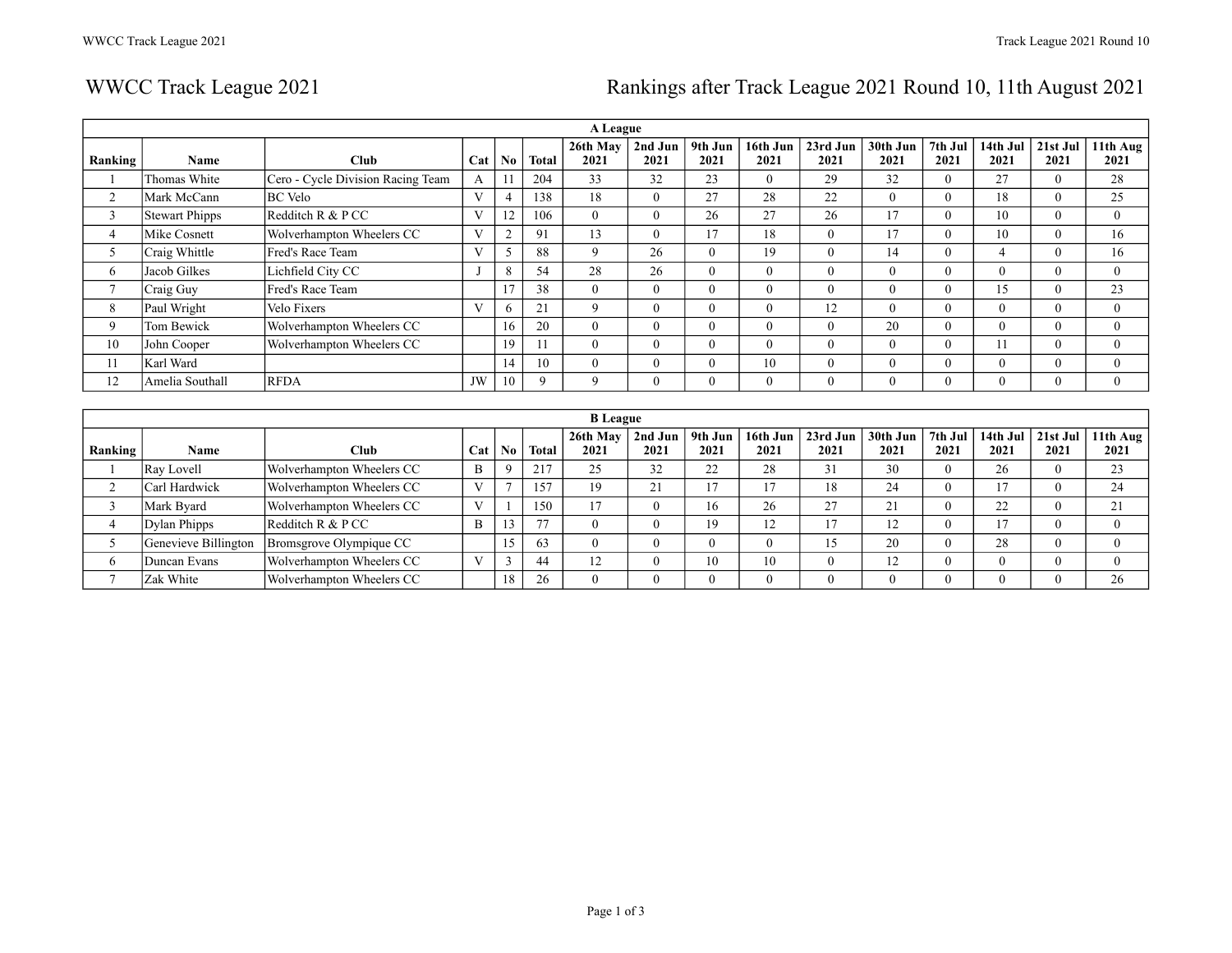# WWCC Track League 2021 **Rankings after Track League 2021 Round 10, 11th August 2021**

|              | A League              |                                   |     |                |              |                  |                  |                 |                  |                  |                  |                 |                  |                  |                  |
|--------------|-----------------------|-----------------------------------|-----|----------------|--------------|------------------|------------------|-----------------|------------------|------------------|------------------|-----------------|------------------|------------------|------------------|
| Ranking      | <b>Name</b>           | Club                              | Cat | N <sub>0</sub> | <b>Total</b> | 26th May<br>2021 | 2nd Jun<br>2021  | 9th Jun<br>2021 | 16th Jun<br>2021 | 23rd Jun<br>2021 | 30th Jun<br>2021 | 7th Jul<br>2021 | 14th Jul<br>2021 | 21st Jul<br>2021 | 11th Aug<br>2021 |
|              | Thomas White          | Cero - Cycle Division Racing Team | А   |                | 204          | 33               | 32               | 23              | $\mathbf{0}$     | 29               | 32               | $\Omega$        | 27               | $\mathbf{0}$     | 28               |
| 2            | Mark McCann           | <b>BC</b> Velo                    | V   |                | 138          | 18               | $\overline{0}$   | 27              | 28               | 22               | $\theta$         | $\Omega$        | 18               | $\mathbf{0}$     | 25               |
| 3            | <b>Stewart Phipps</b> | Redditch R & P CC                 | V   | 12             | 106          | $\theta$         | $\theta$         | 26              | 27               | 26               | 17               | $\Omega$        | 10               | $\theta$         | $\theta$         |
| 4            | Mike Cosnett          | Wolverhampton Wheelers CC         |     |                | 91           | 13               | $\mathbf{0}$     | 17              | 18               | $\Omega$         | 17               | 0               | 10               | $\theta$         | 16               |
| C            | Craig Whittle         | Fred's Race Team                  | V   |                | 88           | 9                | 26               | $\Omega$        | 19               | $\Omega$         | 14               | $\Omega$        | 4                | $\theta$         | 16               |
| 6            | Jacob Gilkes          | Lichfield City CC                 |     |                | 54           | 28               | 26               | $\Omega$        | $\overline{0}$   | $\Omega$         | $\Omega$         | $\Omega$        | 0                | $\theta$         | $\theta$         |
| $\mathbf{r}$ | Craig Guy             | Fred's Race Team                  |     |                | 38           | $\mathbf{0}$     | $\overline{0}$   | $\overline{0}$  | $\overline{0}$   | $\overline{0}$   | $\theta$         | $\theta$        | 15               | $\mathbf{0}$     | 23               |
| 8            | Paul Wright           | Velo Fixers                       | V   |                | 21           | $\mathbf Q$      | $\mathbf{0}$     | $\Omega$        | $\mathbf{0}$     | 12               | $\Omega$         | $\Omega$        | $\theta$         | $\theta$         | $\theta$         |
| 9            | Tom Bewick            | Wolverhampton Wheelers CC         |     | 16             | 20           | $\theta$         | $\theta$         | $\Omega$        | $\overline{0}$   | $\theta$         | 20               | $\Omega$        | $\theta$         | $\theta$         | $\theta$         |
| 10           | John Cooper           | Wolverhampton Wheelers CC         |     | 19             | 11           | $\theta$         | $\theta$         | $\Omega$        | $\theta$         | $\Omega$         | $\Omega$         | $\Omega$        | 11               | $\theta$         | $\theta$         |
| 11           | Karl Ward             |                                   |     | 14             | 10           | $\theta$         | $\boldsymbol{0}$ | $\theta$        | 10               | $\Omega$         | $\Omega$         | $\theta$        | $\theta$         | $\Omega$         | $\Omega$         |
| 12           | Amelia Southall       | <b>RFDA</b>                       | JW  | 10             | 9            | 9                | $\mathbf{0}$     | $\mathbf{0}$    | $\mathbf{0}$     | $\overline{0}$   | $\theta$         | $\theta$        | U                | $\mathbf{0}$     | $\theta$         |
|              |                       |                                   |     |                |              |                  |                  |                 |                  |                  |                  |                 |                  |                  |                  |

|         | <b>B</b> League      |                           |     |     |              |                  |                 |                 |                  |                  |                    |                 |                  |                  |                                |
|---------|----------------------|---------------------------|-----|-----|--------------|------------------|-----------------|-----------------|------------------|------------------|--------------------|-----------------|------------------|------------------|--------------------------------|
| Ranking | <b>Name</b>          | <b>Club</b>               | Cat | No. | <b>Total</b> | 26th May<br>2021 | 2nd Jun<br>2021 | 9th Jun<br>2021 | 16th Jun<br>2021 | 23rd Jun<br>2021 | $30th$ Jun<br>2021 | 7th Jul<br>2021 | 14th Jul<br>2021 | 21st Jul<br>2021 | $\vert \vert$ 11th Aug<br>2021 |
|         | Ray Lovell           | Wolverhampton Wheelers CC | B   |     | 217          | 25               | 32              | 22              | 28               | 31               | 30                 |                 | 26               | $\theta$         | 23                             |
|         | Carl Hardwick        | Wolverhampton Wheelers CC |     |     | 157          | 19               | 21              | 17              | 17               | 18               | 24                 |                 | 17               | $\theta$         | 24                             |
|         | Mark Byard           | Wolverhampton Wheelers CC |     |     | 150          | 17               | $\mathbf{0}$    | 16              | 26               | 27               | 21                 |                 | 22               | $\theta$         | 21                             |
|         | Dylan Phipps         | Redditch $R & P CC$       | B   |     | 77           |                  | $\mathbf{0}$    | 19              | 12               | 17               |                    |                 |                  | $\Omega$         |                                |
|         | Genevieve Billington | Bromsgrove Olympique CC   |     |     | 63           |                  | $\mathbf{0}$    | $\mathbf{0}$    | $\theta$         | 15               | 20                 |                 | 28               | $\theta$         |                                |
|         | Duncan Evans         | Wolverhampton Wheelers CC |     |     | 44           | 12               | $\mathbf{0}$    | 10              | 10               | v                | 12                 |                 |                  | $\Omega$         |                                |
|         | Zak White            | Wolverhampton Wheelers CC |     | 18  | 26           |                  | $\mathbf{0}$    | $\overline{0}$  | $\theta$         |                  | $\Omega$           |                 |                  |                  | 26                             |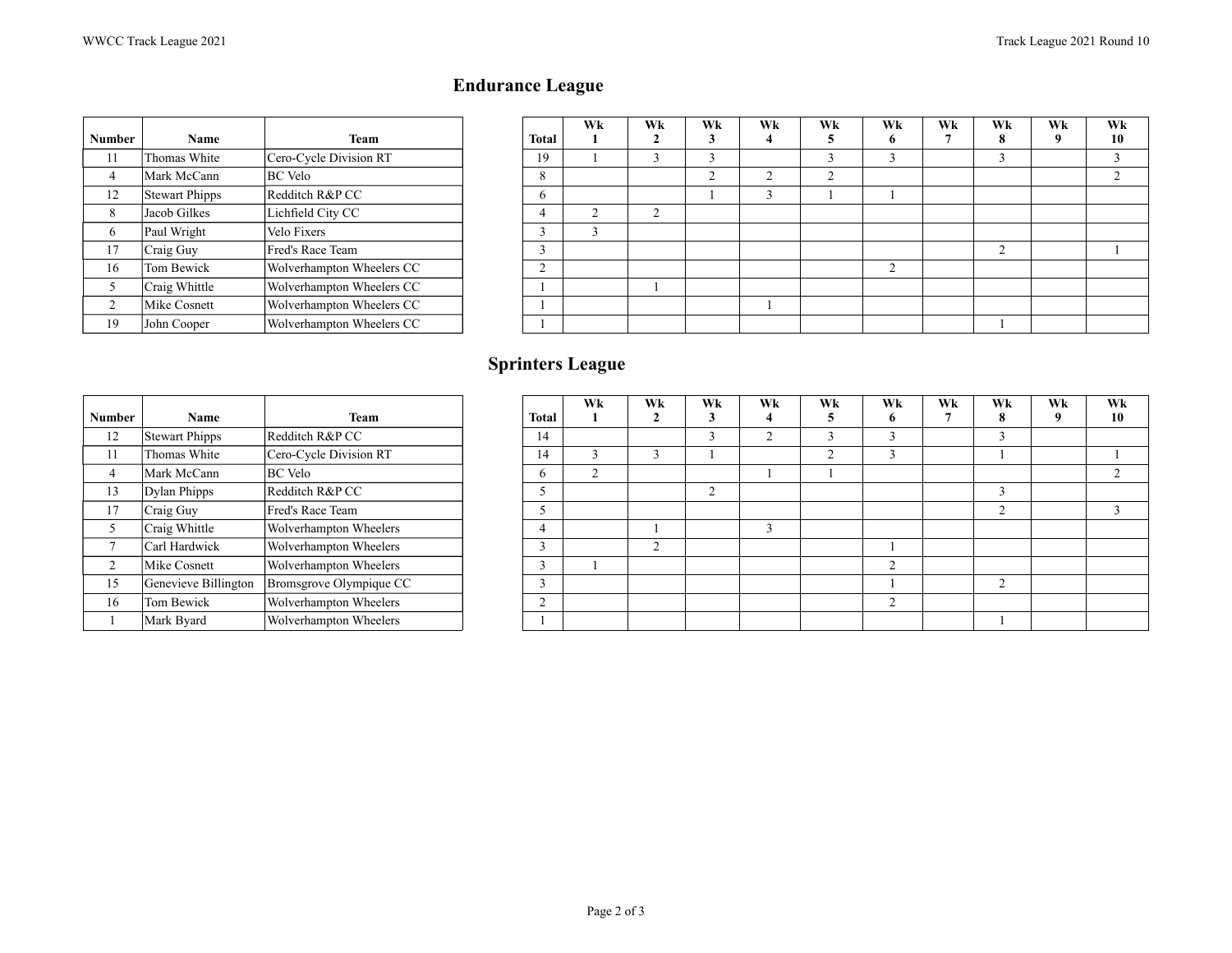# **Endurance League**

|               |                       |                           |                | Wk             | Wk             | Wk             | W              |
|---------------|-----------------------|---------------------------|----------------|----------------|----------------|----------------|----------------|
| <b>Number</b> | <b>Name</b>           | Team                      | <b>Total</b>   |                |                |                |                |
| 11            | Thomas White          | Cero-Cycle Division RT    | 19             |                | 3              | 3              |                |
| 4             | Mark McCann           | <b>BC</b> Velo            | 8              |                |                | $\overline{2}$ | $\overline{c}$ |
| 12            | <b>Stewart Phipps</b> | Redditch R&P CC           | 6              |                |                |                |                |
| 8             | Jacob Gilkes          | Lichfield City CC         | 4              | $\overline{c}$ | $\overline{c}$ |                |                |
| 6             | Paul Wright           | Velo Fixers               | 3              | 3              |                |                |                |
| 17            | Craig Guy             | Fred's Race Team          | 3              |                |                |                |                |
| 16            | Tom Bewick            | Wolverhampton Wheelers CC | $\overline{c}$ |                |                |                |                |
| 5             | Craig Whittle         | Wolverhampton Wheelers CC |                |                |                |                |                |
| 2             | Mike Cosnett          | Wolverhampton Wheelers CC |                |                |                |                |                |
| 19            | John Cooper           | Wolverhampton Wheelers CC |                |                |                |                |                |

| mber           | Name           | Team                      | <b>Total</b> | Wk | Wk | Wk | Wk     | Wk     | Wk             | Wk | Wk        | Wk | Wk     |
|----------------|----------------|---------------------------|--------------|----|----|----|--------|--------|----------------|----|-----------|----|--------|
|                |                |                           |              |    |    |    |        | э      | o              |    | $\bullet$ |    | 10     |
| 11             | Thomas White   | Cero-Cycle Division RT    | 19           |    |    |    |        |        | $\sim$         |    |           |    |        |
| 4              | Mark McCann    | <b>BC</b> Velo            | 8            |    |    |    | $\sim$ | $\sim$ |                |    |           |    | $\sim$ |
| 12             | Stewart Phipps | Redditch R&P CC           | <sub>0</sub> |    |    |    |        |        |                |    |           |    |        |
| 8              | Jacob Gilkes   | Lichfield City CC         |              | r  |    |    |        |        |                |    |           |    |        |
| 6              | Paul Wright    | Velo Fixers               |              |    |    |    |        |        |                |    |           |    |        |
| 17             | Craig Guy      | Fred's Race Team          | $\sim$       |    |    |    |        |        |                |    | $\sim$    |    |        |
| 16             | Tom Bewick     | Wolverhampton Wheelers CC | $\sim$       |    |    |    |        |        | $\overline{ }$ |    |           |    |        |
| 5              | Craig Whittle  | Wolverhampton Wheelers CC |              |    |    |    |        |        |                |    |           |    |        |
| $\overline{2}$ | Mike Cosnett   | Wolverhampton Wheelers CC |              |    |    |    |        |        |                |    |           |    |        |
| 19             | John Cooper    | Wolverhampton Wheelers CC |              |    |    |    |        |        |                |    |           |    |        |

|                |                       |                         |                | Wk | Wk             | Wk | W              |
|----------------|-----------------------|-------------------------|----------------|----|----------------|----|----------------|
| <b>Number</b>  | <b>Name</b>           | <b>Team</b>             | Total          |    |                | 3  | 4              |
| 12             | <b>Stewart Phipps</b> | Redditch R&P CC         | 14             |    |                | 3  | $\overline{c}$ |
| 11             | Thomas White          | Cero-Cycle Division RT  | 14             | 3  | 3              |    |                |
| 4              | Mark McCann           | <b>BC</b> Velo          | 6              | 2  |                |    |                |
| 13             | Dylan Phipps          | Redditch R&P CC         | 5              |    |                | 2  |                |
| 17             | Craig Guy             | Fred's Race Team        | 5              |    |                |    |                |
| 5              | Craig Whittle         | Wolverhampton Wheelers  | 4              |    |                |    |                |
| ⇁              | Carl Hardwick         | Wolverhampton Wheelers  | 3              |    | $\overline{c}$ |    |                |
| $\mathfrak{D}$ | Mike Cosnett          | Wolverhampton Wheelers  | 3              |    |                |    |                |
| 15             | Genevieve Billington  | Bromsgrove Olympique CC | 3              |    |                |    |                |
| 16             | Tom Bewick            | Wolverhampton Wheelers  | $\overline{c}$ |    |                |    |                |
|                | Mark Byard            | Wolverhampton Wheelers  |                |    |                |    |                |

# **Sprinters League**

|                |                      |                         |              | Wk     | Wk     | Wk | Wk     | Wk          | Wk           | Wk | Wk     | Wk | Wk |
|----------------|----------------------|-------------------------|--------------|--------|--------|----|--------|-------------|--------------|----|--------|----|----|
| mber           | Name                 | Team                    | Total        |        |        |    |        |             | 6            |    | 8      | 9  | 10 |
| 12             | Stewart Phipps       | Redditch R&P CC         | 14           |        |        |    | $\sim$ |             | $\sim$<br>J. |    |        |    |    |
| 11             | Thomas White         | Cero-Cycle Division RT  | 14           |        | $\sim$ |    |        | $\sim$<br>∠ | $\sim$<br>3  |    |        |    |    |
| $\overline{4}$ | Mark McCann          | <b>BC</b> Velo          | <sub>0</sub> | $\sim$ |        |    |        |             |              |    |        |    |    |
| 13             | Dylan Phipps         | Redditch R&P CC         |              |        |        | ◠  |        |             |              |    |        |    |    |
| 17             | Craig Guy            | Fred's Race Team        |              |        |        |    |        |             |              |    | $\sim$ |    |    |
| 5              | Craig Whittle        | Wolverhampton Wheelers  |              |        |        |    | $\sim$ |             |              |    |        |    |    |
| 7              | Carl Hardwick        | Wolverhampton Wheelers  |              |        | $\sim$ |    |        |             |              |    |        |    |    |
| 2              | Mike Cosnett         | Wolverhampton Wheelers  |              |        |        |    |        |             | $\sim$       |    |        |    |    |
| 15             | Genevieve Billington | Bromsgrove Olympique CC |              |        |        |    |        |             |              |    | $\sim$ |    |    |
| 16             | Tom Bewick           | Wolverhampton Wheelers  | $\sim$       |        |        |    |        |             | $\sim$       |    |        |    |    |
|                | Mark Byard           | Wolverhampton Wheelers  |              |        |        |    |        |             |              |    |        |    |    |